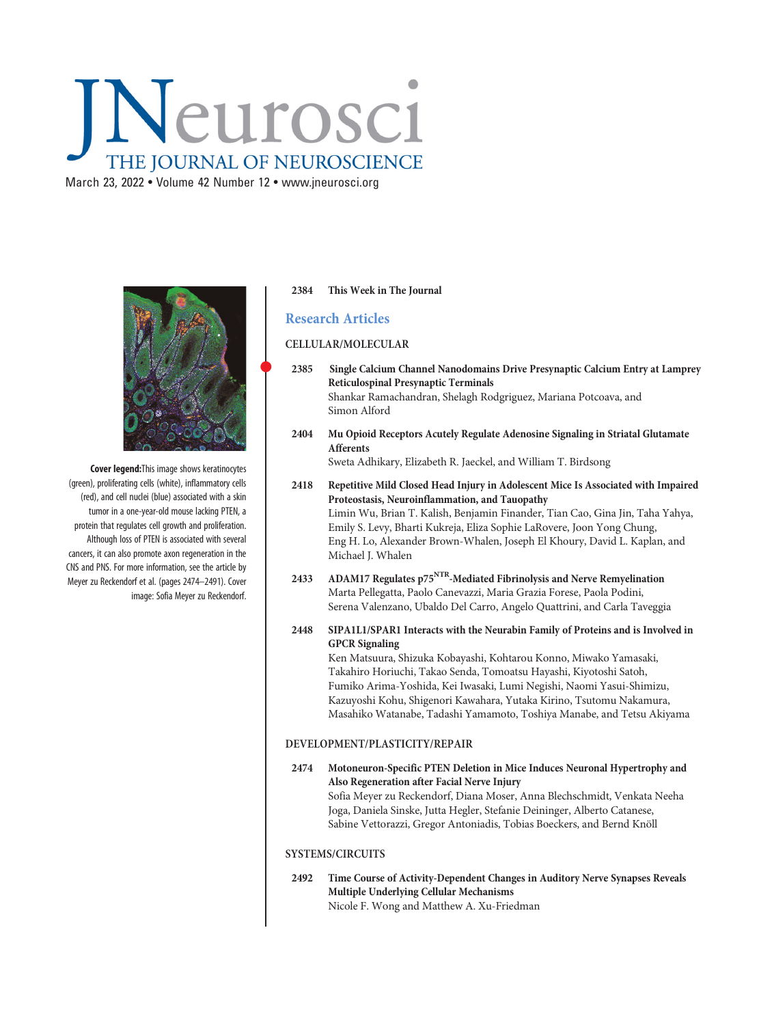# Neurosci THE JOURNAL OF NEUROSCIENCE

March 23, 2022 • Volume 42 Number 12 • [www.jneurosci.org](https://www.jneurosci.org)



Cover legend:This image shows keratinocytes (green), proliferating cells (white), inflammatory cells (red), and cell nuclei (blue) associated with a skin tumor in a one-year-old mouse lacking PTEN, a protein that regulates cell growth and proliferation. Although loss of PTEN is associated with several cancers, it can also promote axon regeneration in the CNS and PNS. For more information, see the article by Meyer zu Reckendorf et al. (pages 2474–2491). Cover image: Sofia Meyer zu Reckendorf.

## 2384 This Week in The Journal

# Research Articles

## CELLULAR/MOLECULAR

- <sup>2385</sup> Single Calcium Channel Nanodomains Drive Presynaptic Calcium Entry at Lamprey Reticulospinal Presynaptic Terminals Shankar Ramachandran, Shelagh Rodgriguez, Mariana Potcoava, and Simon Alford
- 2404 Mu Opioid Receptors Acutely Regulate Adenosine Signaling in Striatal Glutamate Afferents

Sweta Adhikary, Elizabeth R. Jaeckel, and William T. Birdsong

- 2418 Repetitive Mild Closed Head Injury in Adolescent Mice Is Associated with Impaired Proteostasis, Neuroinflammation, and Tauopathy Limin Wu, Brian T. Kalish, Benjamin Finander, Tian Cao, Gina Jin, Taha Yahya, Emily S. Levy, Bharti Kukreja, Eliza Sophie LaRovere, Joon Yong Chung, Eng H. Lo, Alexander Brown-Whalen, Joseph El Khoury, David L. Kaplan, and Michael J. Whalen
- 2433 ADAM17 Regulates p75<sup>NTR</sup>-Mediated Fibrinolysis and Nerve Remyelination Marta Pellegatta, Paolo Canevazzi, Maria Grazia Forese, Paola Podini, Serena Valenzano, Ubaldo Del Carro, Angelo Quattrini, and Carla Taveggia
- 2448 SIPA1L1/SPAR1 Interacts with the Neurabin Family of Proteins and is Involved in GPCR Signaling

Ken Matsuura, Shizuka Kobayashi, Kohtarou Konno, Miwako Yamasaki, Takahiro Horiuchi, Takao Senda, Tomoatsu Hayashi, Kiyotoshi Satoh, Fumiko Arima-Yoshida, Kei Iwasaki, Lumi Negishi, Naomi Yasui-Shimizu, Kazuyoshi Kohu, Shigenori Kawahara, Yutaka Kirino, Tsutomu Nakamura, Masahiko Watanabe, Tadashi Yamamoto, Toshiya Manabe, and Tetsu Akiyama

## DEVELOPMENT/PLASTICITY/REPAIR

2474 Motoneuron-Specific PTEN Deletion in Mice Induces Neuronal Hypertrophy and Also Regeneration after Facial Nerve Injury Sofia Meyer zu Reckendorf, Diana Moser, Anna Blechschmidt, Venkata Neeha Joga, Daniela Sinske, Jutta Hegler, Stefanie Deininger, Alberto Catanese, Sabine Vettorazzi, Gregor Antoniadis, Tobias Boeckers, and Bernd Knöll

### SYSTEMS/CIRCUITS

2492 Time Course of Activity-Dependent Changes in Auditory Nerve Synapses Reveals Multiple Underlying Cellular Mechanisms Nicole F. Wong and Matthew A. Xu-Friedman